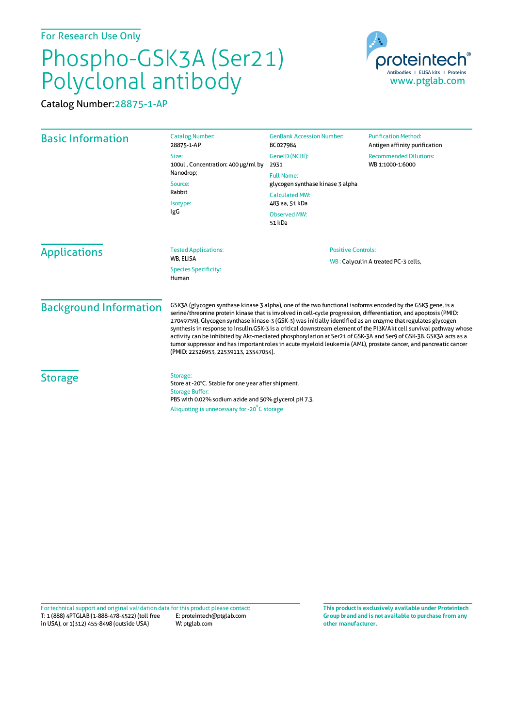For Research Use Only

## Phospho-GSK3A (Ser21) Polyclonal antibody

proteinted Antibodies | ELISA kits | Proteins www.ptglab.com

Catalog Number:28875-1-AP

| <b>Basic Information</b>      | <b>Catalog Number:</b><br>28875-1-AP                                                                                                                                                                                                                                                                                                                                                                                                                                                                                                                                                                                                                                                                                                                    | <b>GenBank Accession Number:</b><br>BC027984                                                                                                                | <b>Purification Method:</b><br>Antigen affinity purification |
|-------------------------------|---------------------------------------------------------------------------------------------------------------------------------------------------------------------------------------------------------------------------------------------------------------------------------------------------------------------------------------------------------------------------------------------------------------------------------------------------------------------------------------------------------------------------------------------------------------------------------------------------------------------------------------------------------------------------------------------------------------------------------------------------------|-------------------------------------------------------------------------------------------------------------------------------------------------------------|--------------------------------------------------------------|
|                               | Size:<br>100ul, Concentration: 400 µg/ml by<br>Nanodrop;<br>Source:<br>Rabbit<br>Isotype:<br>IgG                                                                                                                                                                                                                                                                                                                                                                                                                                                                                                                                                                                                                                                        | GenelD (NCBI):<br>2931<br><b>Full Name:</b><br>glycogen synthase kinase 3 alpha<br><b>Calculated MW:</b><br>483 aa, 51 kDa<br><b>Observed MW:</b><br>51 kDa | <b>Recommended Dilutions:</b><br>WB 1:1000-1:6000            |
| <b>Applications</b>           | <b>Tested Applications:</b><br>WB, ELISA<br><b>Species Specificity:</b><br>Human                                                                                                                                                                                                                                                                                                                                                                                                                                                                                                                                                                                                                                                                        | <b>Positive Controls:</b>                                                                                                                                   | WB: Calyculin A treated PC-3 cells,                          |
| <b>Background Information</b> | GSK3A (glycogen synthase kinase 3 alpha), one of the two functional isoforms encoded by the GSK3 gene, is a<br>serine/threonine protein kinase that is involved in cell-cycle progression, differentiation, and apoptosis (PMID:<br>27049759). Glycogen synthase kinase-3 (GSK-3) was initially identified as an enzyme that regulates glycogen<br>synthesis in response to insulin.GSK-3 is a critical downstream element of the PI3K/Akt cell survival pathway whose<br>activity can be inhibited by Akt-mediated phosphorylation at Ser21 of GSK-3A and Ser9 of GSK-3B. GSK3A acts as a<br>tumor suppressor and has important roles in acute myeloid leukemia (AML), prostate cancer, and pancreatic cancer<br>(PMID: 22326953, 22539113, 23547054). |                                                                                                                                                             |                                                              |
| <b>Storage</b>                | Storage:<br>Store at -20°C. Stable for one year after shipment.<br><b>Storage Buffer:</b><br>PBS with 0.02% sodium azide and 50% glycerol pH 7.3.<br>Aliquoting is unnecessary for -20°C storage                                                                                                                                                                                                                                                                                                                                                                                                                                                                                                                                                        |                                                                                                                                                             |                                                              |